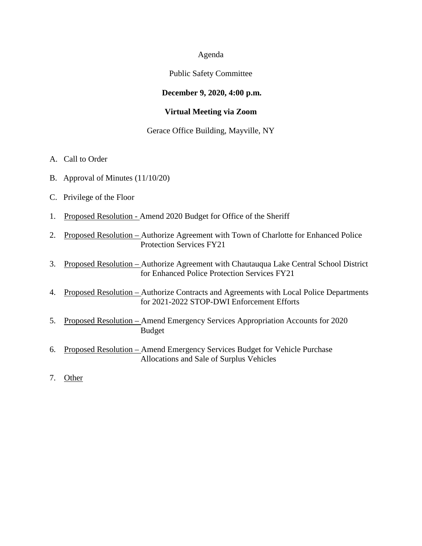### Agenda

### Public Safety Committee

## **December 9, 2020, 4:00 p.m.**

### **Virtual Meeting via Zoom**

#### Gerace Office Building, Mayville, NY

- A. Call to Order
- B. Approval of Minutes (11/10/20)
- C. Privilege of the Floor
- 1. Proposed Resolution Amend 2020 Budget for Office of the Sheriff
- 2. Proposed Resolution Authorize Agreement with Town of Charlotte for Enhanced Police Protection Services FY21
- 3. Proposed Resolution Authorize Agreement with Chautauqua Lake Central School District for Enhanced Police Protection Services FY21
- 4. Proposed Resolution Authorize Contracts and Agreements with Local Police Departments for 2021-2022 STOP-DWI Enforcement Efforts
- 5. Proposed Resolution Amend Emergency Services Appropriation Accounts for 2020 Budget
- 6. Proposed Resolution Amend Emergency Services Budget for Vehicle Purchase Allocations and Sale of Surplus Vehicles
- 7. Other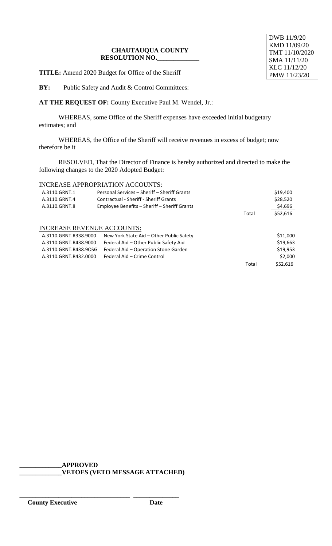**TITLE:** Amend 2020 Budget for Office of the Sheriff

**BY:** Public Safety and Audit & Control Committees:

**AT THE REQUEST OF:** County Executive Paul M. Wendel, Jr.:

WHEREAS, some Office of the Sheriff expenses have exceeded initial budgetary estimates; and

WHEREAS, the Office of the Sheriff will receive revenues in excess of budget; now therefore be it

RESOLVED, That the Director of Finance is hereby authorized and directed to make the following changes to the 2020 Adopted Budget:

# INCREASE APPROPRIATION ACCOUNTS:

| A.3110.GRNT.1                     | Personal Services - Sheriff - Sheriff Grants |       | \$19,400 |
|-----------------------------------|----------------------------------------------|-------|----------|
| A.3110.GRNT.4                     | Contractual - Sheriff - Sheriff Grants       |       | \$28,520 |
| A.3110.GRNT.8                     | Employee Benefits – Sheriff – Sheriff Grants |       | \$4,696  |
|                                   |                                              | Total | \$52,616 |
| <b>INCREASE REVENUE ACCOUNTS:</b> |                                              |       |          |
| A.3110.GRNT.R338.9000             | New York State Aid - Other Public Safety     |       | \$11,000 |
| A.3110.GRNT.R438.9000             | Federal Aid - Other Public Safety Aid        |       | \$19,663 |
| A.3110.GRNT.R438.90SG             | Federal Aid - Operation Stone Garden         |       | \$19,953 |
| A.3110.GRNT.R432.0000             | Federal Aid - Crime Control                  |       | \$2,000  |
|                                   |                                              | Total | \$52,616 |

\_\_\_\_\_\_\_\_\_\_\_\_\_\_\_\_\_\_\_\_\_\_\_\_\_\_\_\_\_\_\_\_\_\_ \_\_\_\_\_\_\_\_\_\_\_\_\_\_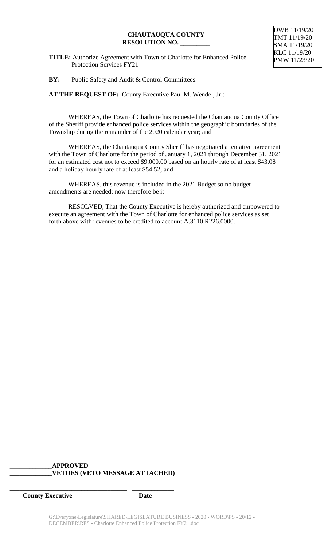**TITLE:** Authorize Agreement with Town of Charlotte for Enhanced Police Protection Services FY21

DWB 11/19/20 TMT 11/19/20 SMA 11/19/20 KLC 11/19/20 PMW 11/23/20

**BY:** Public Safety and Audit & Control Committees:

**AT THE REQUEST OF:** County Executive Paul M. Wendel, Jr.:

WHEREAS, the Town of Charlotte has requested the Chautauqua County Office of the Sheriff provide enhanced police services within the geographic boundaries of the Township during the remainder of the 2020 calendar year; and

WHEREAS, the Chautauqua County Sheriff has negotiated a tentative agreement with the Town of Charlotte for the period of January 1, 2021 through December 31, 2021 for an estimated cost not to exceed \$9,000.00 based on an hourly rate of at least \$43.08 and a holiday hourly rate of at least \$54.52; and

WHEREAS, this revenue is included in the 2021 Budget so no budget amendments are needed; now therefore be it

RESOLVED, That the County Executive is hereby authorized and empowered to execute an agreement with the Town of Charlotte for enhanced police services as set forth above with revenues to be credited to account A.3110.R226.0000.

# **\_\_\_\_\_\_\_\_\_\_\_\_\_APPROVED \_\_\_\_\_\_\_\_\_\_\_\_\_VETOES (VETO MESSAGE ATTACHED)**

**\_\_\_\_\_\_\_\_\_\_\_\_\_\_\_\_\_\_\_\_\_\_\_\_\_\_\_\_\_\_\_\_\_\_\_\_ \_\_\_\_\_\_\_\_\_\_\_\_\_**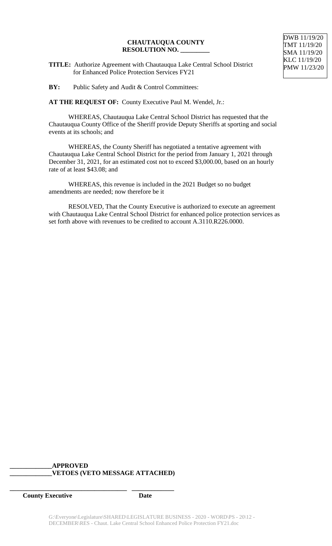**TITLE:** Authorize Agreement with Chautauqua Lake Central School District for Enhanced Police Protection Services FY21

**BY:** Public Safety and Audit & Control Committees:

**AT THE REQUEST OF:** County Executive Paul M. Wendel, Jr.:

WHEREAS, Chautauqua Lake Central School District has requested that the Chautauqua County Office of the Sheriff provide Deputy Sheriffs at sporting and social events at its schools; and

WHEREAS, the County Sheriff has negotiated a tentative agreement with Chautauqua Lake Central School District for the period from January 1, 2021 through December 31, 2021, for an estimated cost not to exceed \$3,000.00, based on an hourly rate of at least \$43.08; and

WHEREAS, this revenue is included in the 2021 Budget so no budget amendments are needed; now therefore be it

RESOLVED, That the County Executive is authorized to execute an agreement with Chautauqua Lake Central School District for enhanced police protection services as set forth above with revenues to be credited to account A.3110.R226.0000.

# **\_\_\_\_\_\_\_\_\_\_\_\_\_APPROVED \_\_\_\_\_\_\_\_\_\_\_\_\_VETOES (VETO MESSAGE ATTACHED)**

**\_\_\_\_\_\_\_\_\_\_\_\_\_\_\_\_\_\_\_\_\_\_\_\_\_\_\_\_\_\_\_\_\_\_\_\_ \_\_\_\_\_\_\_\_\_\_\_\_\_**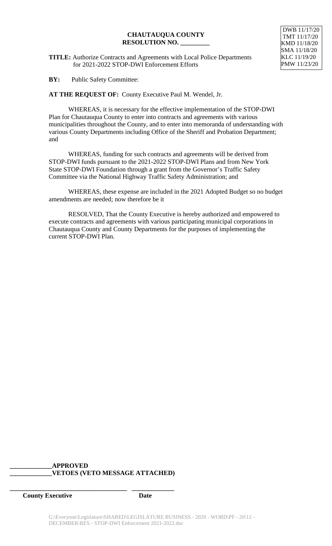**TITLE:** Authorize Contracts and Agreements with Local Police Departments for 2021-2022 STOP-DWI Enforcement Efforts

DWB 11/17/20 TMT 11/17/20 KMD 11/18/20 SMA 11/18/20 KLC 11/19/20 PMW 11/23/20

**BY:** Public Safety Committee:

**AT THE REQUEST OF:** County Executive Paul M. Wendel, Jr.

WHEREAS, it is necessary for the effective implementation of the STOP-DWI Plan for Chautauqua County to enter into contracts and agreements with various municipalities throughout the County, and to enter into memoranda of understanding with various County Departments including Office of the Sheriff and Probation Department; and

WHEREAS, funding for such contracts and agreements will be derived from STOP-DWI funds pursuant to the 2021-2022 STOP-DWI Plans and from New York State STOP-DWI Foundation through a grant from the Governor's Traffic Safety Committee via the National Highway Traffic Safety Administration; and

WHEREAS, these expense are included in the 2021 Adopted Budget so no budget amendments are needed; now therefore be it

RESOLVED, That the County Executive is hereby authorized and empowered to execute contracts and agreements with various participating municipal corporations in Chautauqua County and County Departments for the purposes of implementing the current STOP-DWI Plan.

# **\_\_\_\_\_\_\_\_\_\_\_\_\_APPROVED \_\_\_\_\_\_\_\_\_\_\_\_\_VETOES (VETO MESSAGE ATTACHED)**

**\_\_\_\_\_\_\_\_\_\_\_\_\_\_\_\_\_\_\_\_\_\_\_\_\_\_\_\_\_\_\_\_\_\_\_\_ \_\_\_\_\_\_\_\_\_\_\_\_\_**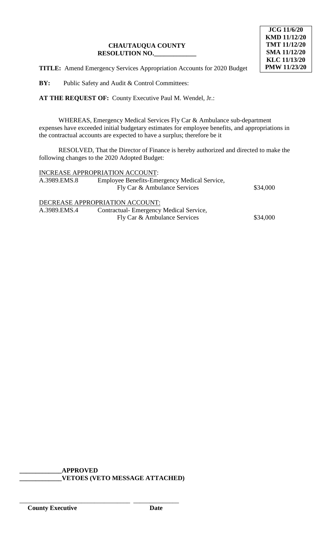

**TITLE:** Amend Emergency Services Appropriation Accounts for 2020 Budget

**BY:** Public Safety and Audit & Control Committees:

**AT THE REQUEST OF:** County Executive Paul M. Wendel, Jr.:

WHEREAS, Emergency Medical Services Fly Car & Ambulance sub-department expenses have exceeded initial budgetary estimates for employee benefits, and appropriations in the contractual accounts are expected to have a surplus; therefore be it

RESOLVED, That the Director of Finance is hereby authorized and directed to make the following changes to the 2020 Adopted Budget:

|              | INCREASE APPROPRIATION ACCOUNT:              |          |
|--------------|----------------------------------------------|----------|
| A.3989.EMS.8 | Employee Benefits-Emergency Medical Service, |          |
|              | Fly Car & Ambulance Services                 | \$34,000 |
|              | DECREASE APPROPRIATION ACCOUNT:              |          |
| A.3989.EMS.4 | Contractual-Emergency Medical Service,       |          |
|              | Fly Car & Ambulance Services                 | \$34,000 |

**\_\_\_\_\_\_\_\_\_\_\_\_\_APPROVED \_\_\_\_\_\_\_\_\_\_\_\_\_VETOES (VETO MESSAGE ATTACHED)**

\_\_\_\_\_\_\_\_\_\_\_\_\_\_\_\_\_\_\_\_\_\_\_\_\_\_\_\_\_\_\_\_\_\_ \_\_\_\_\_\_\_\_\_\_\_\_\_\_